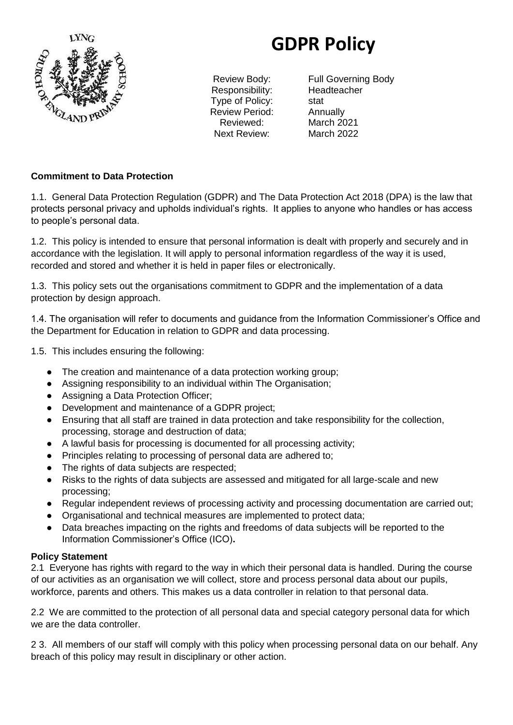

# **GDPR Policy**

Responsibility: Headteacher Type of Policy: stat Review Period: Annually Reviewed: March 2021 Next Review: March 2022

Review Body: Full Governing Body

#### **Commitment to Data Protection**

1.1. General Data Protection Regulation (GDPR) and The Data Protection Act 2018 (DPA) is the law that protects personal privacy and upholds individual's rights. It applies to anyone who handles or has access to people's personal data.

1.2. This policy is intended to ensure that personal information is dealt with properly and securely and in accordance with the legislation. It will apply to personal information regardless of the way it is used, recorded and stored and whether it is held in paper files or electronically.

1.3. This policy sets out the organisations commitment to GDPR and the implementation of a data protection by design approach.

1.4. The organisation will refer to documents and guidance from the Information Commissioner's Office and the Department for Education in relation to GDPR and data processing.

1.5. This includes ensuring the following:

- The creation and maintenance of a data protection working group;
- Assigning responsibility to an individual within The Organisation;
- Assigning a Data Protection Officer;
- Development and maintenance of a GDPR project;
- Ensuring that all staff are trained in data protection and take responsibility for the collection, processing, storage and destruction of data;
- A lawful basis for processing is documented for all processing activity;
- Principles relating to processing of personal data are adhered to;
- The rights of data subjects are respected;
- Risks to the rights of data subjects are assessed and mitigated for all large-scale and new processing;
- Regular independent reviews of processing activity and processing documentation are carried out;
- Organisational and technical measures are implemented to protect data;
- Data breaches impacting on the rights and freedoms of data subjects will be reported to the Information Commissioner's Office (ICO)**.**

#### **Policy Statement**

2.1 Everyone has rights with regard to the way in which their personal data is handled. During the course of our activities as an organisation we will collect, store and process personal data about our pupils, workforce, parents and others. This makes us a data controller in relation to that personal data.

2.2 We are committed to the protection of all personal data and special category personal data for which we are the data controller.

2 3. All members of our staff will comply with this policy when processing personal data on our behalf. Any breach of this policy may result in disciplinary or other action.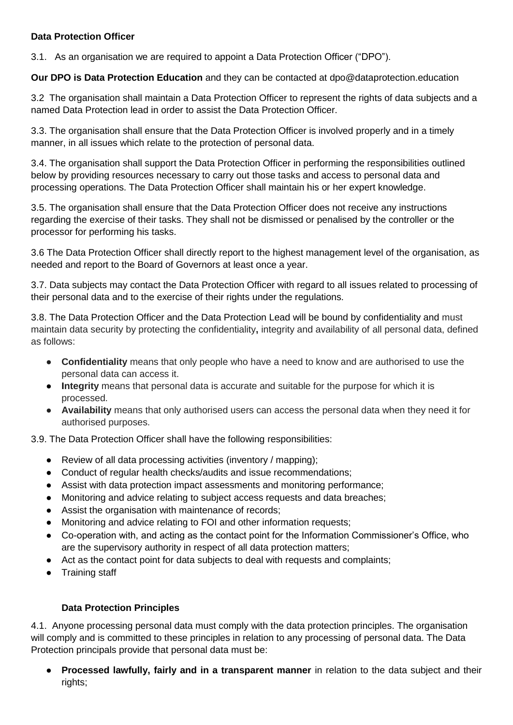#### **Data Protection Officer**

3.1. As an organisation we are required to appoint a Data Protection Officer ("DPO").

**Our DPO is Data Protection Education** and they can be contacted at dpo@dataprotection.education

3.2 The organisation shall maintain a Data Protection Officer to represent the rights of data subjects and a named Data Protection lead in order to assist the Data Protection Officer.

3.3. The organisation shall ensure that the Data Protection Officer is involved properly and in a timely manner, in all issues which relate to the protection of personal data.

3.4. The organisation shall support the Data Protection Officer in performing the responsibilities outlined below by providing resources necessary to carry out those tasks and access to personal data and processing operations. The Data Protection Officer shall maintain his or her expert knowledge.

3.5. The organisation shall ensure that the Data Protection Officer does not receive any instructions regarding the exercise of their tasks. They shall not be dismissed or penalised by the controller or the processor for performing his tasks.

3.6 The Data Protection Officer shall directly report to the highest management level of the organisation, as needed and report to the Board of Governors at least once a year.

3.7. Data subjects may contact the Data Protection Officer with regard to all issues related to processing of their personal data and to the exercise of their rights under the regulations.

3.8. The Data Protection Officer and the Data Protection Lead will be bound by confidentiality and must maintain data security by protecting the confidentiality**,** integrity and availability of all personal data, defined as follows:

- **Confidentiality** means that only people who have a need to know and are authorised to use the personal data can access it.
- **Integrity** means that personal data is accurate and suitable for the purpose for which it is processed.
- **Availability** means that only authorised users can access the personal data when they need it for authorised purposes.

3.9. The Data Protection Officer shall have the following responsibilities:

- Review of all data processing activities (inventory / mapping);
- Conduct of regular health checks/audits and issue recommendations;
- Assist with data protection impact assessments and monitoring performance;
- Monitoring and advice relating to subject access requests and data breaches;
- Assist the organisation with maintenance of records;
- Monitoring and advice relating to FOI and other information requests;
- Co-operation with, and acting as the contact point for the Information Commissioner's Office, who are the supervisory authority in respect of all data protection matters;
- Act as the contact point for data subjects to deal with requests and complaints;
- Training staff

#### **Data Protection Principles**

4.1. Anyone processing personal data must comply with the data protection principles. The organisation will comply and is committed to these principles in relation to any processing of personal data. The Data Protection principals provide that personal data must be:

**Processed lawfully, fairly and in a transparent manner** in relation to the data subject and their rights;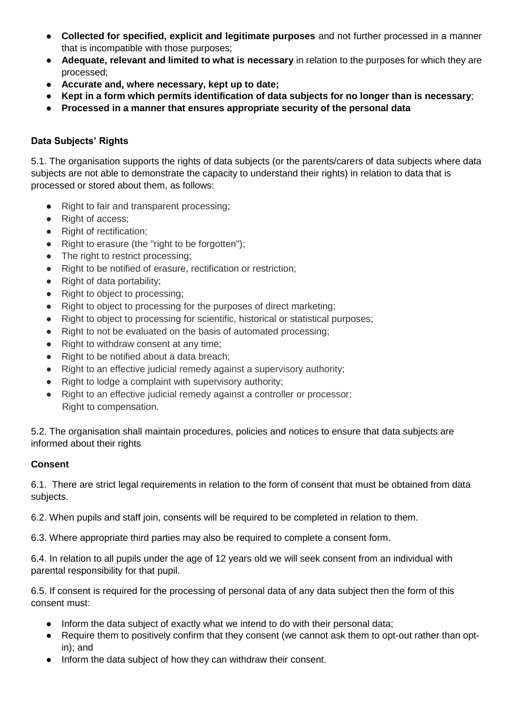- **Collected for specified, explicit and legitimate purposes** and not further processed in a manner that is incompatible with those purposes;
- **Adequate, relevant and limited to what is necessary** in relation to the purposes for which they are processed;
- **Accurate and, where necessary, kept up to date;**
- **Kept in a form which permits identification of data subjects for no longer than is necessary**;
- **Processed in a manner that ensures appropriate security of the personal data**

#### **Data Subjects' Rights**

5.1. The organisation supports the rights of data subjects (or the parents/carers of data subjects where data subjects are not able to demonstrate the capacity to understand their rights) in relation to data that is processed or stored about them, as follows:

- Right to fair and transparent processing;
- Right of access;
- Right of rectification;
- Right to erasure (the "right to be forgotten");
- The right to restrict processing;
- Right to be notified of erasure, rectification or restriction;
- Right of data portability;
- Right to object to processing;
- Right to object to processing for the purposes of direct marketing;
- Right to object to processing for scientific, historical or statistical purposes;
- Right to not be evaluated on the basis of automated processing;
- Right to withdraw consent at any time;
- Right to be notified about a data breach;
- Right to an effective judicial remedy against a supervisory authority;
- Right to lodge a complaint with supervisory authority;
- Right to an effective judicial remedy against a controller or processor; Right to compensation.

5.2. The organisation shall maintain procedures, policies and notices to ensure that data subjects are informed about their rights

#### **Consent**

6.1. There are strict legal requirements in relation to the form of consent that must be obtained from data subjects.

6.2. When pupils and staff join, consents will be required to be completed in relation to them.

6.3. Where appropriate third parties may also be required to complete a consent form.

6.4. In relation to all pupils under the age of 12 years old we will seek consent from an individual with parental responsibility for that pupil.

6.5. If consent is required for the processing of personal data of any data subject then the form of this consent must:

- Inform the data subject of exactly what we intend to do with their personal data;
- Require them to positively confirm that they consent (we cannot ask them to opt-out rather than optin); and
- Inform the data subject of how they can withdraw their consent.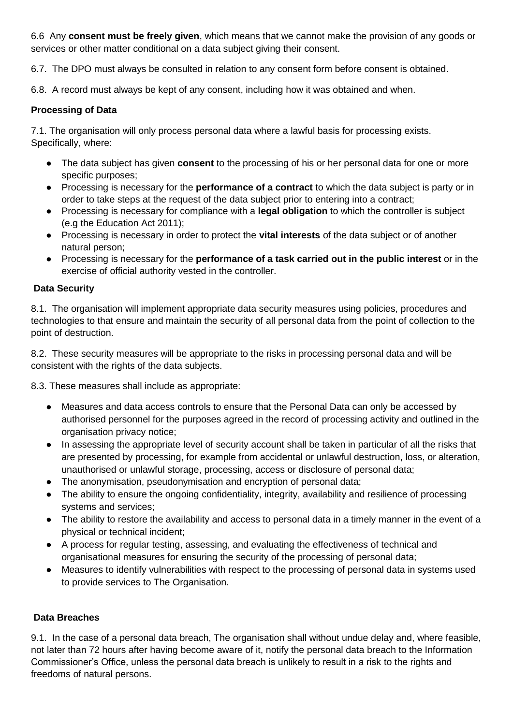6.6 Any **consent must be freely given**, which means that we cannot make the provision of any goods or services or other matter conditional on a data subject giving their consent.

6.7. The DPO must always be consulted in relation to any consent form before consent is obtained.

6.8. A record must always be kept of any consent, including how it was obtained and when.

#### **Processing of Data**

7.1. The organisation will only process personal data where a lawful basis for processing exists. Specifically, where:

- The data subject has given **consent** to the processing of his or her personal data for one or more specific purposes;
- Processing is necessary for the **performance of a contract** to which the data subject is party or in order to take steps at the request of the data subject prior to entering into a contract;
- Processing is necessary for compliance with a **legal obligation** to which the controller is subject (e.g the Education Act 2011);
- Processing is necessary in order to protect the **vital interests** of the data subject or of another natural person;
- Processing is necessary for the **performance of a task carried out in the public interest** or in the exercise of official authority vested in the controller.

#### **Data Security**

8.1. The organisation will implement appropriate data security measures using policies, procedures and technologies to that ensure and maintain the security of all personal data from the point of collection to the point of destruction.

8.2. These security measures will be appropriate to the risks in processing personal data and will be consistent with the rights of the data subjects.

8.3. These measures shall include as appropriate:

- Measures and data access controls to ensure that the Personal Data can only be accessed by authorised personnel for the purposes agreed in the record of processing activity and outlined in the organisation privacy notice;
- In assessing the appropriate level of security account shall be taken in particular of all the risks that are presented by processing, for example from accidental or unlawful destruction, loss, or alteration, unauthorised or unlawful storage, processing, access or disclosure of personal data;
- The anonymisation, pseudonymisation and encryption of personal data;
- The ability to ensure the ongoing confidentiality, integrity, availability and resilience of processing systems and services;
- The ability to restore the availability and access to personal data in a timely manner in the event of a physical or technical incident;
- A process for regular testing, assessing, and evaluating the effectiveness of technical and organisational measures for ensuring the security of the processing of personal data;
- Measures to identify vulnerabilities with respect to the processing of personal data in systems used to provide services to The Organisation.

#### **Data Breaches**

9.1. In the case of a personal data breach, The organisation shall without undue delay and, where feasible, not later than 72 hours after having become aware of it, notify the personal data breach to the Information Commissioner's Office, unless the personal data breach is unlikely to result in a risk to the rights and freedoms of natural persons.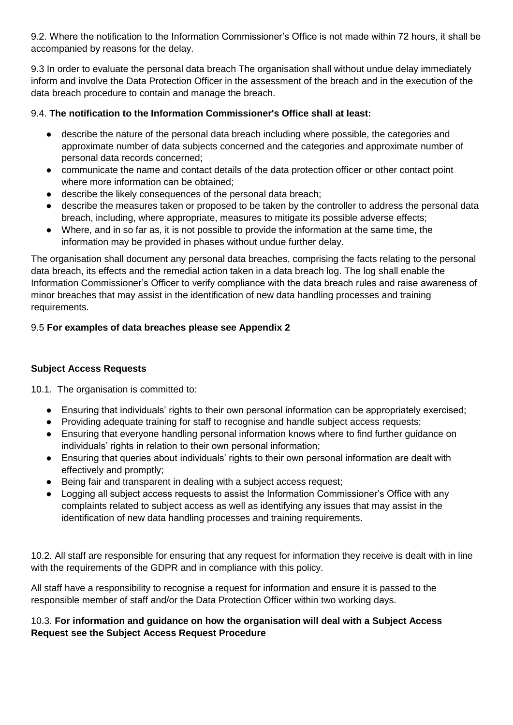9.2. Where the notification to the Information Commissioner's Office is not made within 72 hours, it shall be accompanied by reasons for the delay.

9.3 In order to evaluate the personal data breach The organisation shall without undue delay immediately inform and involve the Data Protection Officer in the assessment of the breach and in the execution of the data breach procedure to contain and manage the breach.

#### 9.4. **The notification to the Information Commissioner's Office shall at least:**

- describe the nature of the personal data breach including where possible, the categories and approximate number of data subjects concerned and the categories and approximate number of personal data records concerned;
- communicate the name and contact details of the data protection officer or other contact point where more information can be obtained;
- describe the likely consequences of the personal data breach;
- describe the measures taken or proposed to be taken by the controller to address the personal data breach, including, where appropriate, measures to mitigate its possible adverse effects;
- Where, and in so far as, it is not possible to provide the information at the same time, the information may be provided in phases without undue further delay.

The organisation shall document any personal data breaches, comprising the facts relating to the personal data breach, its effects and the remedial action taken in a data breach log. The log shall enable the Information Commissioner's Officer to verify compliance with the data breach rules and raise awareness of minor breaches that may assist in the identification of new data handling processes and training requirements.

#### 9.5 **For examples of data breaches please see Appendix 2**

#### **Subject Access Requests**

10.1. The organisation is committed to:

- Ensuring that individuals' rights to their own personal information can be appropriately exercised;
- Providing adequate training for staff to recognise and handle subject access requests;
- Ensuring that everyone handling personal information knows where to find further guidance on individuals' rights in relation to their own personal information;
- Ensuring that queries about individuals' rights to their own personal information are dealt with effectively and promptly;
- Being fair and transparent in dealing with a subject access request;
- Logging all subject access requests to assist the Information Commissioner's Office with any complaints related to subject access as well as identifying any issues that may assist in the identification of new data handling processes and training requirements.

10.2. All staff are responsible for ensuring that any request for information they receive is dealt with in line with the requirements of the GDPR and in compliance with this policy.

All staff have a responsibility to recognise a request for information and ensure it is passed to the responsible member of staff and/or the Data Protection Officer within two working days.

#### 10.3. **For information and guidance on how the organisation will deal with a Subject Access Request see the Subject Access Request Procedure**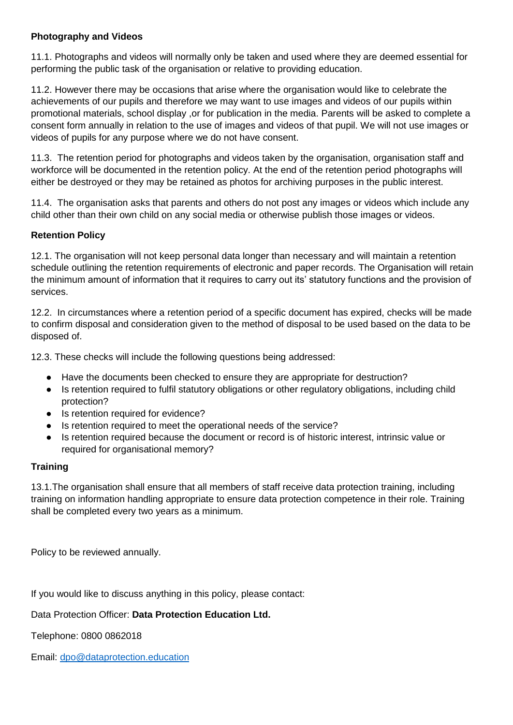#### **Photography and Videos**

11.1. Photographs and videos will normally only be taken and used where they are deemed essential for performing the public task of the organisation or relative to providing education.

11.2. However there may be occasions that arise where the organisation would like to celebrate the achievements of our pupils and therefore we may want to use images and videos of our pupils within promotional materials, school display ,or for publication in the media. Parents will be asked to complete a consent form annually in relation to the use of images and videos of that pupil. We will not use images or videos of pupils for any purpose where we do not have consent.

11.3. The retention period for photographs and videos taken by the organisation, organisation staff and workforce will be documented in the retention policy. At the end of the retention period photographs will either be destroyed or they may be retained as photos for archiving purposes in the public interest.

11.4. The organisation asks that parents and others do not post any images or videos which include any child other than their own child on any social media or otherwise publish those images or videos.

#### **Retention Policy**

12.1. The organisation will not keep personal data longer than necessary and will maintain a retention schedule outlining the retention requirements of electronic and paper records. The Organisation will retain the minimum amount of information that it requires to carry out its' statutory functions and the provision of services.

12.2. In circumstances where a retention period of a specific document has expired, checks will be made to confirm disposal and consideration given to the method of disposal to be used based on the data to be disposed of.

12.3. These checks will include the following questions being addressed:

- Have the documents been checked to ensure they are appropriate for destruction?
- Is retention required to fulfil statutory obligations or other regulatory obligations, including child protection?
- Is retention required for evidence?
- Is retention required to meet the operational needs of the service?
- Is retention required because the document or record is of historic interest, intrinsic value or required for organisational memory?

#### **Training**

13.1.The organisation shall ensure that all members of staff receive data protection training, including training on information handling appropriate to ensure data protection competence in their role. Training shall be completed every two years as a minimum.

Policy to be reviewed annually.

If you would like to discuss anything in this policy, please contact:

Data Protection Officer: **Data Protection Education Ltd.**

Telephone: 0800 0862018

Email: [dpo@dataprotection.education](mailto:dpo@dataprotection.education)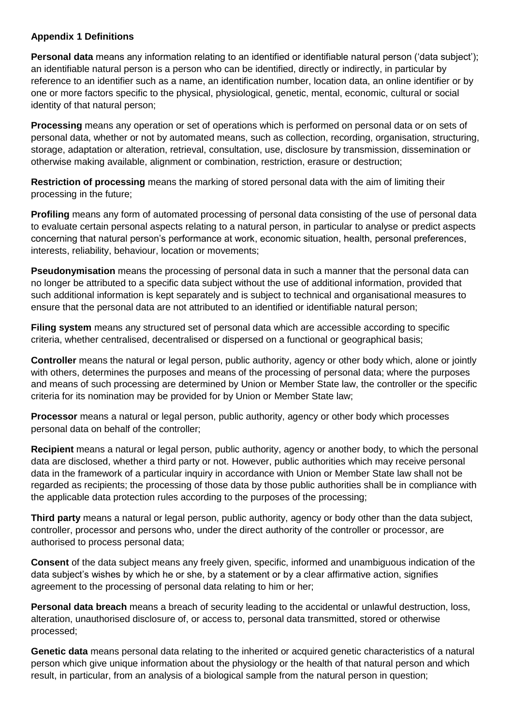#### **Appendix 1 Definitions**

**Personal data** means any information relating to an identified or identifiable natural person ('data subject'); an identifiable natural person is a person who can be identified, directly or indirectly, in particular by reference to an identifier such as a name, an identification number, location data, an online identifier or by one or more factors specific to the physical, physiological, genetic, mental, economic, cultural or social identity of that natural person;

**Processing** means any operation or set of operations which is performed on personal data or on sets of personal data, whether or not by automated means, such as collection, recording, organisation, structuring, storage, adaptation or alteration, retrieval, consultation, use, disclosure by transmission, dissemination or otherwise making available, alignment or combination, restriction, erasure or destruction;

**Restriction of processing** means the marking of stored personal data with the aim of limiting their processing in the future;

**Profiling** means any form of automated processing of personal data consisting of the use of personal data to evaluate certain personal aspects relating to a natural person, in particular to analyse or predict aspects concerning that natural person's performance at work, economic situation, health, personal preferences, interests, reliability, behaviour, location or movements;

**Pseudonymisation** means the processing of personal data in such a manner that the personal data can no longer be attributed to a specific data subject without the use of additional information, provided that such additional information is kept separately and is subject to technical and organisational measures to ensure that the personal data are not attributed to an identified or identifiable natural person;

**Filing system** means any structured set of personal data which are accessible according to specific criteria, whether centralised, decentralised or dispersed on a functional or geographical basis;

**Controller** means the natural or legal person, public authority, agency or other body which, alone or jointly with others, determines the purposes and means of the processing of personal data; where the purposes and means of such processing are determined by Union or Member State law, the controller or the specific criteria for its nomination may be provided for by Union or Member State law;

**Processor** means a natural or legal person, public authority, agency or other body which processes personal data on behalf of the controller;

**Recipient** means a natural or legal person, public authority, agency or another body, to which the personal data are disclosed, whether a third party or not. However, public authorities which may receive personal data in the framework of a particular inquiry in accordance with Union or Member State law shall not be regarded as recipients; the processing of those data by those public authorities shall be in compliance with the applicable data protection rules according to the purposes of the processing;

**Third party** means a natural or legal person, public authority, agency or body other than the data subject, controller, processor and persons who, under the direct authority of the controller or processor, are authorised to process personal data;

**Consent** of the data subject means any freely given, specific, informed and unambiguous indication of the data subject's wishes by which he or she, by a statement or by a clear affirmative action, signifies agreement to the processing of personal data relating to him or her;

**Personal data breach** means a breach of security leading to the accidental or unlawful destruction, loss, alteration, unauthorised disclosure of, or access to, personal data transmitted, stored or otherwise processed;

**Genetic data** means personal data relating to the inherited or acquired genetic characteristics of a natural person which give unique information about the physiology or the health of that natural person and which result, in particular, from an analysis of a biological sample from the natural person in question;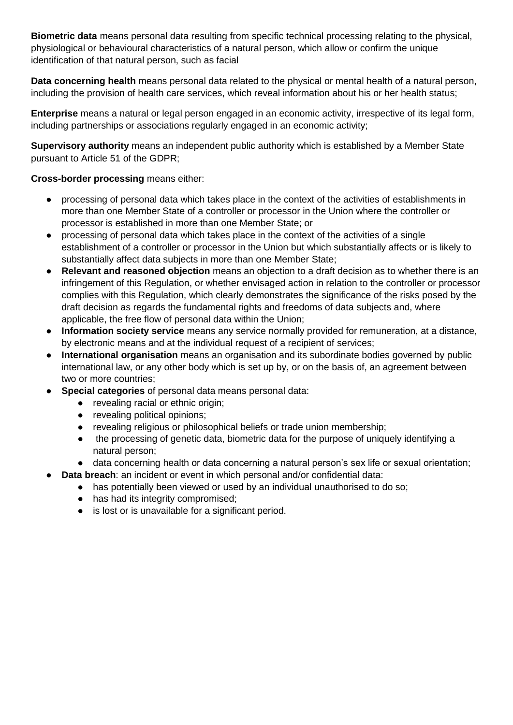**Biometric data** means personal data resulting from specific technical processing relating to the physical, physiological or behavioural characteristics of a natural person, which allow or confirm the unique identification of that natural person, such as facial

**Data concerning health** means personal data related to the physical or mental health of a natural person, including the provision of health care services, which reveal information about his or her health status;

**Enterprise** means a natural or legal person engaged in an economic activity, irrespective of its legal form, including partnerships or associations regularly engaged in an economic activity;

**Supervisory authority** means an independent public authority which is established by a Member State pursuant to Article 51 of the GDPR;

#### **Cross-border processing** means either:

- processing of personal data which takes place in the context of the activities of establishments in more than one Member State of a controller or processor in the Union where the controller or processor is established in more than one Member State; or
- processing of personal data which takes place in the context of the activities of a single establishment of a controller or processor in the Union but which substantially affects or is likely to substantially affect data subjects in more than one Member State;
- **Relevant and reasoned objection** means an objection to a draft decision as to whether there is an infringement of this Regulation, or whether envisaged action in relation to the controller or processor complies with this Regulation, which clearly demonstrates the significance of the risks posed by the draft decision as regards the fundamental rights and freedoms of data subjects and, where applicable, the free flow of personal data within the Union;
- **Information society service** means any service normally provided for remuneration, at a distance, by electronic means and at the individual request of a recipient of services;
- **International organisation** means an organisation and its subordinate bodies governed by public international law, or any other body which is set up by, or on the basis of, an agreement between two or more countries;
- **Special categories** of personal data means personal data:
	- revealing racial or ethnic origin;
	- revealing political opinions;
	- revealing religious or philosophical beliefs or trade union membership;
	- the processing of genetic data, biometric data for the purpose of uniquely identifying a natural person;
	- data concerning health or data concerning a natural person's sex life or sexual orientation;
- **Data breach**: an incident or event in which personal and/or confidential data:
	- has potentially been viewed or used by an individual unauthorised to do so;
	- has had its integrity compromised;
	- is lost or is unavailable for a significant period.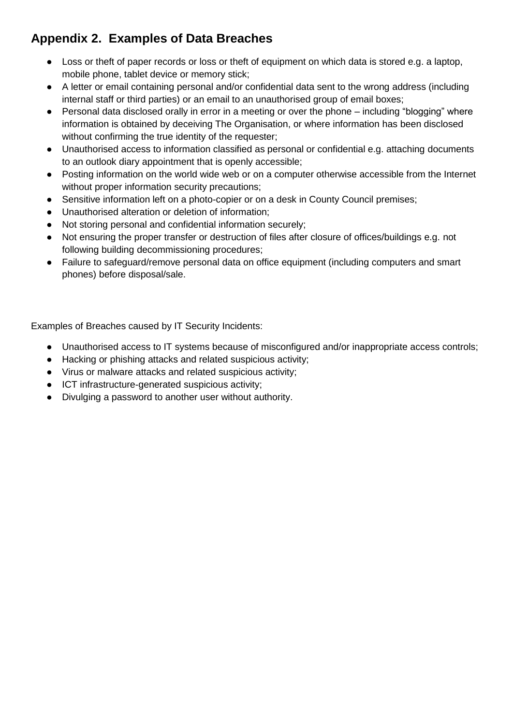### **Appendix 2. Examples of Data Breaches**

- Loss or theft of paper records or loss or theft of equipment on which data is stored e.g. a laptop, mobile phone, tablet device or memory stick;
- A letter or email containing personal and/or confidential data sent to the wrong address (including internal staff or third parties) or an email to an unauthorised group of email boxes;
- Personal data disclosed orally in error in a meeting or over the phone including "blogging" where information is obtained by deceiving The Organisation, or where information has been disclosed without confirming the true identity of the requester;
- Unauthorised access to information classified as personal or confidential e.g. attaching documents to an outlook diary appointment that is openly accessible;
- Posting information on the world wide web or on a computer otherwise accessible from the Internet without proper information security precautions;
- Sensitive information left on a photo-copier or on a desk in County Council premises;
- Unauthorised alteration or deletion of information;
- Not storing personal and confidential information securely;
- Not ensuring the proper transfer or destruction of files after closure of offices/buildings e.g. not following building decommissioning procedures;
- Failure to safeguard/remove personal data on office equipment (including computers and smart phones) before disposal/sale.

Examples of Breaches caused by IT Security Incidents:

- Unauthorised access to IT systems because of misconfigured and/or inappropriate access controls;
- Hacking or phishing attacks and related suspicious activity;
- Virus or malware attacks and related suspicious activity;
- ICT infrastructure-generated suspicious activity;
- Divulging a password to another user without authority.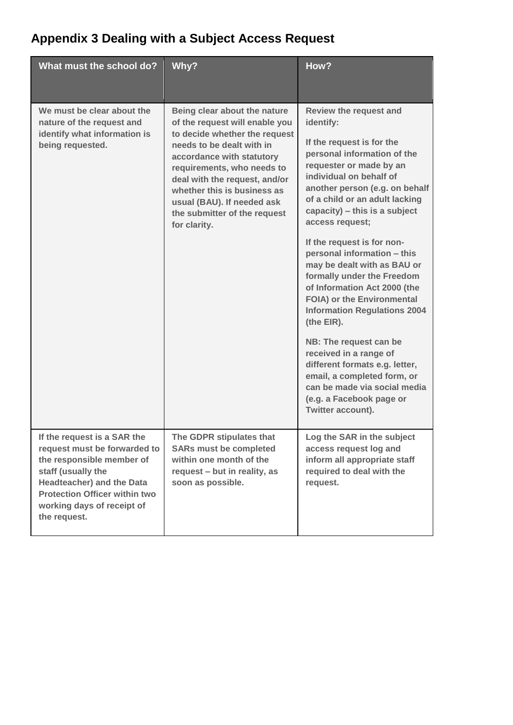## **Appendix 3 Dealing with a Subject Access Request**

| What must the school do?                                                                                                                                                                                                                 | Why?                                                                                                                                                                                                                                                                                                                                  | How?                                                                                                                                                                                                                                                                                 |
|------------------------------------------------------------------------------------------------------------------------------------------------------------------------------------------------------------------------------------------|---------------------------------------------------------------------------------------------------------------------------------------------------------------------------------------------------------------------------------------------------------------------------------------------------------------------------------------|--------------------------------------------------------------------------------------------------------------------------------------------------------------------------------------------------------------------------------------------------------------------------------------|
| We must be clear about the<br>nature of the request and<br>identify what information is<br>being requested.                                                                                                                              | Being clear about the nature<br>of the request will enable you<br>to decide whether the request<br>needs to be dealt with in<br>accordance with statutory<br>requirements, who needs to<br>deal with the request, and/or<br>whether this is business as<br>usual (BAU). If needed ask<br>the submitter of the request<br>for clarity. | <b>Review the request and</b><br>identify:<br>If the request is for the<br>personal information of the<br>requester or made by an<br>individual on behalf of<br>another person (e.g. on behalf<br>of a child or an adult lacking<br>capacity) - this is a subject<br>access request; |
|                                                                                                                                                                                                                                          |                                                                                                                                                                                                                                                                                                                                       | If the request is for non-<br>personal information - this<br>may be dealt with as BAU or<br>formally under the Freedom<br>of Information Act 2000 (the<br><b>FOIA) or the Environmental</b><br><b>Information Regulations 2004</b><br>(the EIR).                                     |
|                                                                                                                                                                                                                                          |                                                                                                                                                                                                                                                                                                                                       | NB: The request can be<br>received in a range of<br>different formats e.g. letter,<br>email, a completed form, or<br>can be made via social media<br>(e.g. a Facebook page or<br>Twitter account).                                                                                   |
| If the request is a SAR the<br>request must be forwarded to<br>the responsible member of<br>staff (usually the<br><b>Headteacher) and the Data</b><br><b>Protection Officer within two</b><br>working days of receipt of<br>the request. | The GDPR stipulates that<br><b>SARs must be completed</b><br>within one month of the<br>request - but in reality, as<br>soon as possible.                                                                                                                                                                                             | Log the SAR in the subject<br>access request log and<br>inform all appropriate staff<br>required to deal with the<br>request.                                                                                                                                                        |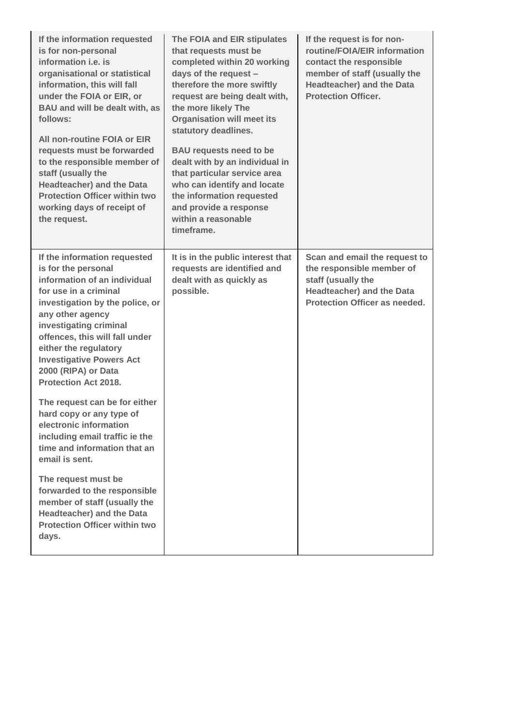| If the information requested<br>is for non-personal<br>information <i>i.e.</i> is<br>organisational or statistical<br>information, this will fall<br>under the FOIA or EIR, or<br>BAU and will be dealt with, as<br>follows:<br>All non-routine FOIA or EIR<br>requests must be forwarded<br>to the responsible member of<br>staff (usually the<br><b>Headteacher) and the Data</b><br><b>Protection Officer within two</b><br>working days of receipt of<br>the request. | The FOIA and EIR stipulates<br>that requests must be<br>completed within 20 working<br>days of the request -<br>therefore the more swiftly<br>request are being dealt with,<br>the more likely The<br><b>Organisation will meet its</b><br>statutory deadlines.<br><b>BAU requests need to be</b><br>dealt with by an individual in<br>that particular service area<br>who can identify and locate<br>the information requested<br>and provide a response<br>within a reasonable<br>timeframe. | If the request is for non-<br>routine/FOIA/EIR information<br>contact the responsible<br>member of staff (usually the<br><b>Headteacher) and the Data</b><br><b>Protection Officer.</b> |
|---------------------------------------------------------------------------------------------------------------------------------------------------------------------------------------------------------------------------------------------------------------------------------------------------------------------------------------------------------------------------------------------------------------------------------------------------------------------------|------------------------------------------------------------------------------------------------------------------------------------------------------------------------------------------------------------------------------------------------------------------------------------------------------------------------------------------------------------------------------------------------------------------------------------------------------------------------------------------------|-----------------------------------------------------------------------------------------------------------------------------------------------------------------------------------------|
| If the information requested<br>is for the personal<br>information of an individual<br>for use in a criminal<br>investigation by the police, or<br>any other agency<br>investigating criminal<br>offences, this will fall under<br>either the regulatory<br><b>Investigative Powers Act</b><br>2000 (RIPA) or Data<br><b>Protection Act 2018.</b>                                                                                                                         | It is in the public interest that<br>requests are identified and<br>dealt with as quickly as<br>possible.                                                                                                                                                                                                                                                                                                                                                                                      | Scan and email the request to<br>the responsible member of<br>staff (usually the<br><b>Headteacher) and the Data</b><br><b>Protection Officer as needed.</b>                            |
| The request can be for either<br>hard copy or any type of<br>electronic information<br>including email traffic ie the<br>time and information that an<br>email is sent.                                                                                                                                                                                                                                                                                                   |                                                                                                                                                                                                                                                                                                                                                                                                                                                                                                |                                                                                                                                                                                         |
| The request must be<br>forwarded to the responsible<br>member of staff (usually the<br><b>Headteacher) and the Data</b><br><b>Protection Officer within two</b><br>days.                                                                                                                                                                                                                                                                                                  |                                                                                                                                                                                                                                                                                                                                                                                                                                                                                                |                                                                                                                                                                                         |